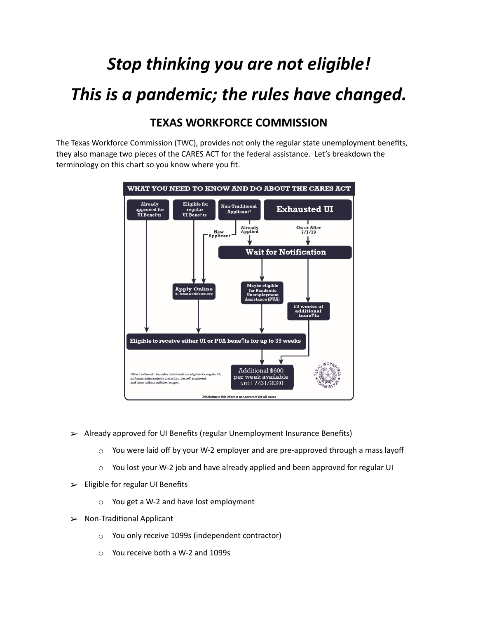## *Stop thinking you are not eligible! This is a pandemic; the rules have changed.*

## **TEXAS WORKFORCE COMMISSION**

The Texas Workforce Commission (TWC), provides not only the regular state unemployment benefits, they also manage two pieces of the CARES ACT for the federal assistance. Let's breakdown the terminology on this chart so you know where you fit.



- $\geq$  Already approved for UI Benefits (regular Unemployment Insurance Benefits)
	- $\circ$  You were laid off by your W-2 employer and are pre-approved through a mass layoff
	- $\circ$  You lost your W-2 job and have already applied and been approved for regular UI
- ➢ Eligible for regular UI Benefits
	- o You get a W-2 and have lost employment
- $\triangleright$  Non-Traditional Applicant
	- o You only receive 1099s (independent contractor)
	- o You receive both a W-2 and 1099s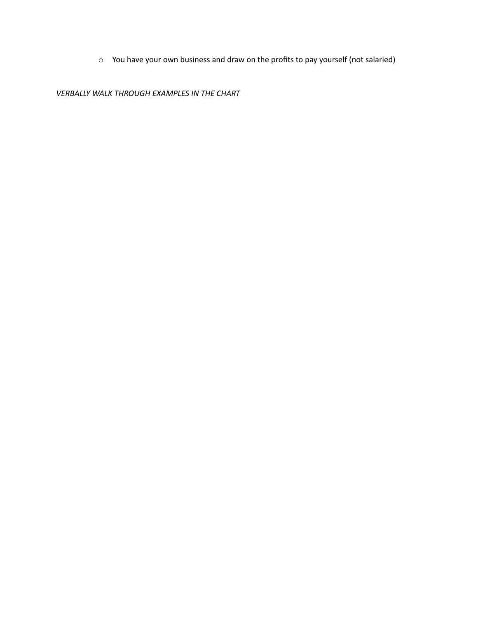o You have your own business and draw on the profits to pay yourself (not salaried)

*VERBALLY WALK THROUGH EXAMPLES IN THE CHART*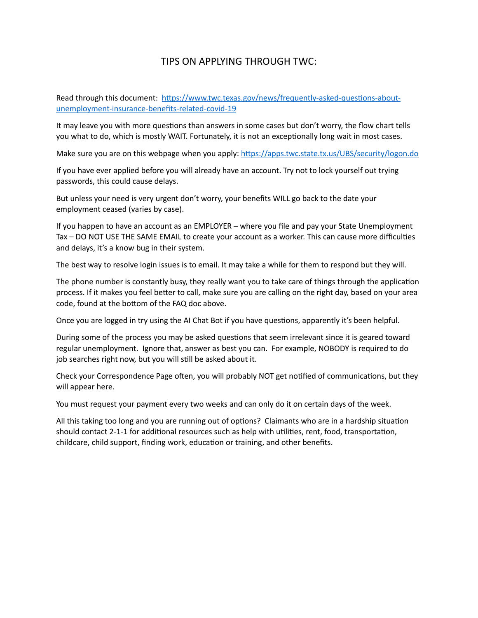## TIPS ON APPLYING THROUGH TWC:

Read through this document: https://www.twc.texas.gov/news/frequently-asked-questions-about[unemployment-insurance-benefits-related-covid-19](https://www.twc.texas.gov/news/frequently-asked-questions-about-unemployment-insurance-benefits-related-covid-19) 

It may leave you with more questions than answers in some cases but don't worry, the flow chart tells you what to do, which is mostly WAIT. Fortunately, it is not an exceptionally long wait in most cases.

Make sure you are on this webpage when you apply: https://apps.twc.state.tx.us/UBS/security/logon.do

If you have ever applied before you will already have an account. Try not to lock yourself out trying passwords, this could cause delays.

But unless your need is very urgent don't worry, your benefits WILL go back to the date your employment ceased (varies by case).

If you happen to have an account as an EMPLOYER – where you file and pay your State Unemployment Tax – DO NOT USE THE SAME EMAIL to create your account as a worker. This can cause more difficulties and delays, it's a know bug in their system.

The best way to resolve login issues is to email. It may take a while for them to respond but they will.

The phone number is constantly busy, they really want you to take care of things through the application process. If it makes you feel better to call, make sure you are calling on the right day, based on your area code, found at the bottom of the FAQ doc above.

Once you are logged in try using the AI Chat Bot if you have questions, apparently it's been helpful.

During some of the process you may be asked questions that seem irrelevant since it is geared toward regular unemployment. Ignore that, answer as best you can. For example, NOBODY is required to do job searches right now, but you will still be asked about it.

Check your Correspondence Page often, you will probably NOT get notified of communications, but they will appear here.

You must request your payment every two weeks and can only do it on certain days of the week.

All this taking too long and you are running out of options? Claimants who are in a hardship situation should contact 2-1-1 for additional resources such as help with utilities, rent, food, transportation, childcare, child support, finding work, education or training, and other benefits.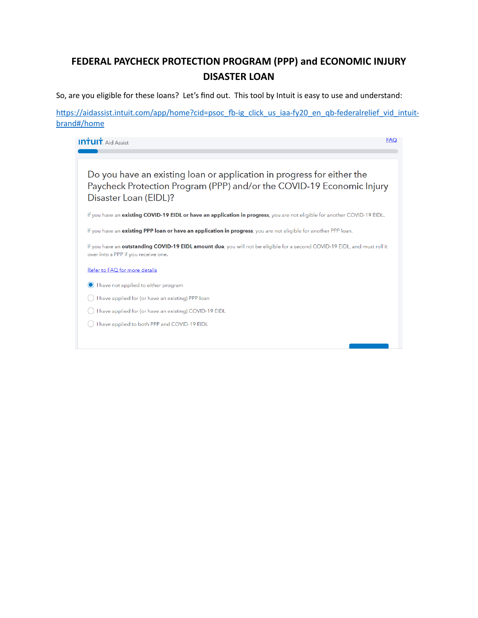## **FEDERAL PAYCHECK PROTECTION PROGRAM (PPP) and ECONOMIC INJURY DISASTER LOAN**

So, are you eligible for these loans? Let's find out. This tool by Intuit is easy to use and understand:

https://aidassist.intuit.com/app/home?cid=psoc\_fb-ig\_click\_us\_iaa-fy20\_en\_qb-federalrelief\_vid\_intuit[brand#/home](https://aidassist.intuit.com/app/home?cid=psoc_fb-ig_click_us_iaa-fy20_en_qb-federalrelief_vid_intuit-brand#/home)

| <b>FAQ</b><br><b>INTUIT</b> . Aid Assist                                                                                                                                  |
|---------------------------------------------------------------------------------------------------------------------------------------------------------------------------|
| Do you have an existing loan or application in progress for either the<br>Paycheck Protection Program (PPP) and/or the COVID-19 Economic Injury<br>Disaster Loan (EIDL)?  |
| If you have an existing COVID-19 EIDL or have an application in progress, you are not eligible for another COVID-19 EIDL.                                                 |
| If you have an existing PPP loan or have an application in progress, you are not eligible for another PPP loan.                                                           |
| If you have an <b>outstanding COVID-19 EIDL amount due</b> , you will not be eligible for a second COVID-19 EIDL, and must roll it<br>over into a PPP if you receive one. |
| Refer to FAQ for more details                                                                                                                                             |
| I have not applied to either program                                                                                                                                      |
| have applied for (or have an existing) PPP loan                                                                                                                           |
| I have applied for (or have an existing) COVID-19 EIDL                                                                                                                    |
| have applied to both PPP and COVID-19 EIDL                                                                                                                                |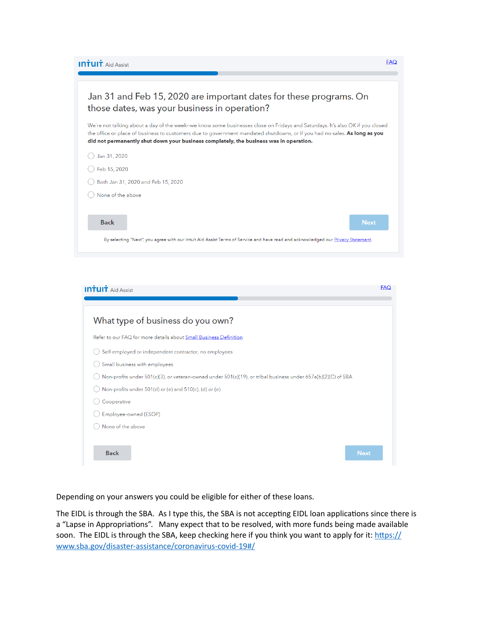**INTUIT** Aid Assist

| Jan 31 and Feb 15, 2020 are important dates for these programs. On<br>those dates, was your business in operation?                                                                                                                                                                                                                                   |
|------------------------------------------------------------------------------------------------------------------------------------------------------------------------------------------------------------------------------------------------------------------------------------------------------------------------------------------------------|
| We're not talking about a day of the week--we know some businesses close on Fridays and Saturdays. It's also OK if you closed<br>the office or place of business to customers due to government mandated shutdowns, or if you had no sales. As long as you<br>did not permanently shut down your business completely, the business was in operation. |
| Jan 31, 2020                                                                                                                                                                                                                                                                                                                                         |
| Feb 15, 2020                                                                                                                                                                                                                                                                                                                                         |
| Both Jan 31, 2020 and Feb 15, 2020                                                                                                                                                                                                                                                                                                                   |
| None of the above                                                                                                                                                                                                                                                                                                                                    |
|                                                                                                                                                                                                                                                                                                                                                      |
| <b>Back</b><br><b>Next</b>                                                                                                                                                                                                                                                                                                                           |
| By selecting "Next", you agree with our Intuit Aid Assist Terms of Service and have read and acknowledged our Privacy Statement.                                                                                                                                                                                                                     |
|                                                                                                                                                                                                                                                                                                                                                      |

 $EAO$ 

| <b>INTUIT</b> . Aid Assist                                                                                    | <b>FAQ</b> |
|---------------------------------------------------------------------------------------------------------------|------------|
|                                                                                                               |            |
| What type of business do you own?                                                                             |            |
| Refer to our FAQ for more details about Small Business Definition                                             |            |
| Self-employed or independent contractor, no employees                                                         |            |
| Small business with employees                                                                                 |            |
| Non-profits under 501(c)(3), or veteran-owned under 501(c)(19), or tribal business under 657a(b)(2)(C) of SBA |            |
| Non-profits under 501(d) or (e) and 510(c), (d) or (e)                                                        |            |
| Cooperative                                                                                                   |            |
| Employee-owned (ESOP)                                                                                         |            |
| None of the above                                                                                             |            |
|                                                                                                               |            |
| <b>Back</b><br><b>Next</b>                                                                                    |            |

Depending on your answers you could be eligible for either of these loans.

The EIDL is through the SBA. As I type this, the SBA is not accepting EIDL loan applications since there is a "Lapse in Appropriations". Many expect that to be resolved, with more funds being made available soon. The EIDL is through the SBA, keep checking here if you think you want to apply for it: https:// [www.sba.gov/disaster-assistance/coronavirus-covid-19#/](https://www.sba.gov/disaster-assistance/coronavirus-covid-19#/)